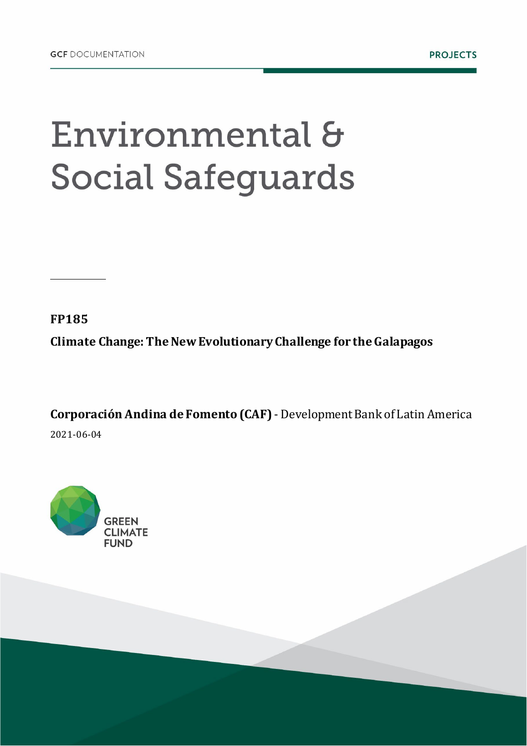## Environmental & **Social Safeguards**

**FP185**

**Climate Change: The New Evolutionary Challenge for the Galapagos**

**Corporación Andina de Fomento (CAF)** - Development Bank of Latin America 2021-06-04

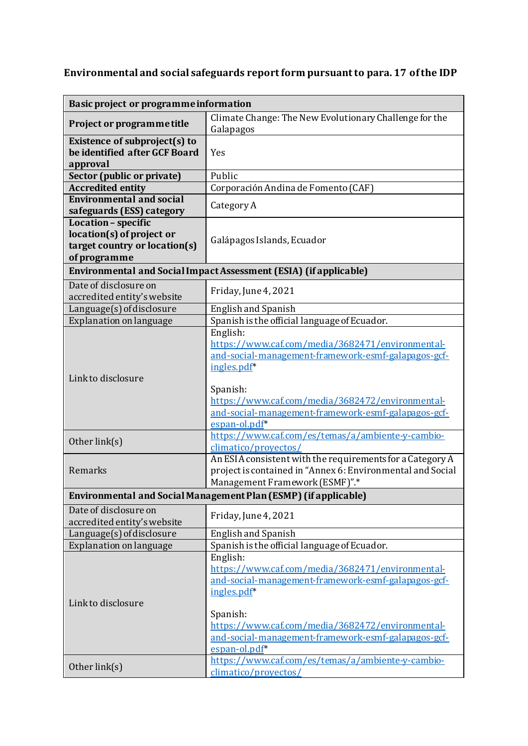## **Environmental and social safeguards reportform pursuant to para. 17 of the IDP**

| Basic project or programme information                                                            |                                                                                                                                                                                                                                                                            |  |
|---------------------------------------------------------------------------------------------------|----------------------------------------------------------------------------------------------------------------------------------------------------------------------------------------------------------------------------------------------------------------------------|--|
| Project or programme title                                                                        | Climate Change: The New Evolutionary Challenge for the<br>Galapagos                                                                                                                                                                                                        |  |
| Existence of subproject(s) to<br>be identified after GCF Board<br>approval                        | Yes                                                                                                                                                                                                                                                                        |  |
| Sector (public or private)                                                                        | Public                                                                                                                                                                                                                                                                     |  |
| <b>Accredited entity</b>                                                                          | Corporación Andina de Fomento (CAF)                                                                                                                                                                                                                                        |  |
| <b>Environmental and social</b><br>safeguards (ESS) category                                      | Category A                                                                                                                                                                                                                                                                 |  |
| Location - specific<br>location(s) of project or<br>target country or location(s)<br>of programme | Galápagos Islands, Ecuador                                                                                                                                                                                                                                                 |  |
| Environmental and Social Impact Assessment (ESIA) (if applicable)                                 |                                                                                                                                                                                                                                                                            |  |
| Date of disclosure on<br>accredited entity's website                                              | Friday, June 4, 2021                                                                                                                                                                                                                                                       |  |
| Language(s) of disclosure                                                                         | <b>English and Spanish</b>                                                                                                                                                                                                                                                 |  |
| Explanation on language                                                                           | Spanish is the official language of Ecuador.                                                                                                                                                                                                                               |  |
| Linkto disclosure                                                                                 | English:<br>https://www.caf.com/media/3682471/environmental-<br>and-social-management-framework-esmf-galapagos-gcf-<br>ingles.pdf*<br>Spanish:<br>https://www.caf.com/media/3682472/environmental-<br>and-social-management-framework-esmf-galapagos-gcf-<br>espan-ol.pdf* |  |
| Other link(s)                                                                                     | https://www.caf.com/es/temas/a/ambiente-y-cambio-<br>climatico/proyectos/                                                                                                                                                                                                  |  |
| Remarks                                                                                           | An ESIA consistent with the requirements for a Category A<br>project is contained in "Annex 6: Environmental and Social<br>Management Framework (ESMF)".*                                                                                                                  |  |
| Environmental and Social Management Plan (ESMP) (if applicable)                                   |                                                                                                                                                                                                                                                                            |  |
| Date of disclosure on<br>accredited entity's website                                              | Friday, June 4, 2021                                                                                                                                                                                                                                                       |  |
| Language(s) of disclosure                                                                         | English and Spanish                                                                                                                                                                                                                                                        |  |
| Explanation on language                                                                           | Spanish is the official language of Ecuador.                                                                                                                                                                                                                               |  |
| Linkto disclosure                                                                                 | English:<br>https://www.caf.com/media/3682471/environmental-<br>and-social-management-framework-esmf-galapagos-gcf-<br>ingles.pdf*<br>Spanish:<br>https://www.caf.com/media/3682472/environmental-<br>and-social-management-framework-esmf-galapagos-gcf-<br>espan-ol.pdf* |  |
| Other link(s)                                                                                     | https://www.caf.com/es/temas/a/ambiente-y-cambio-<br>climatico/provectos/                                                                                                                                                                                                  |  |